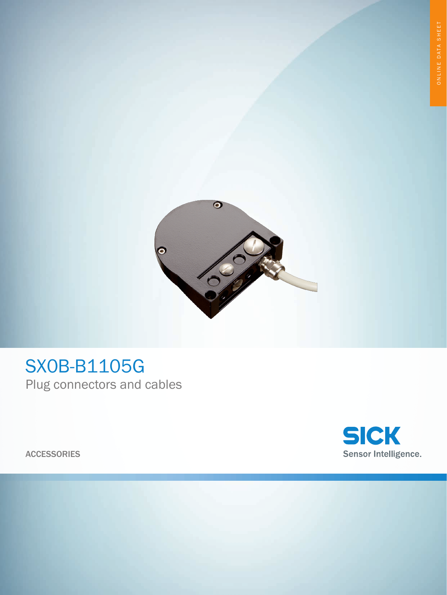

## SX0B-B1105G Plug connectors and cables



**ACCESSORIES**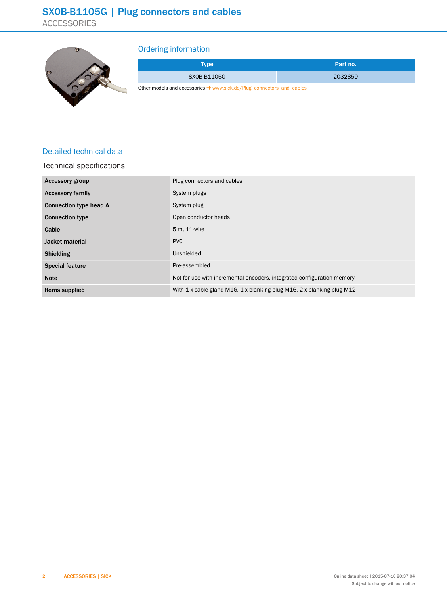## SX0B-B1105G | Plug connectors and cables

ACCESSORIES



## Ordering information

| <b>Type</b>            | Part no. |
|------------------------|----------|
| SX0B-B1105G<br>2032859 |          |

Other models and accessories  $\rightarrow$  www.sick.de/Plug\_connectors\_and\_cables

## Detailed technical data

Technical specifications

| <b>Accessory group</b>        | Plug connectors and cables                                             |
|-------------------------------|------------------------------------------------------------------------|
| <b>Accessory family</b>       | System plugs                                                           |
| <b>Connection type head A</b> | System plug                                                            |
| <b>Connection type</b>        | Open conductor heads                                                   |
| Cable                         | 5 m, 11-wire                                                           |
| Jacket material               | <b>PVC</b>                                                             |
| Shielding                     | Unshielded                                                             |
| <b>Special feature</b>        | Pre-assembled                                                          |
| <b>Note</b>                   | Not for use with incremental encoders, integrated configuration memory |
| Items supplied                | With 1 x cable gland M16, 1 x blanking plug M16, 2 x blanking plug M12 |